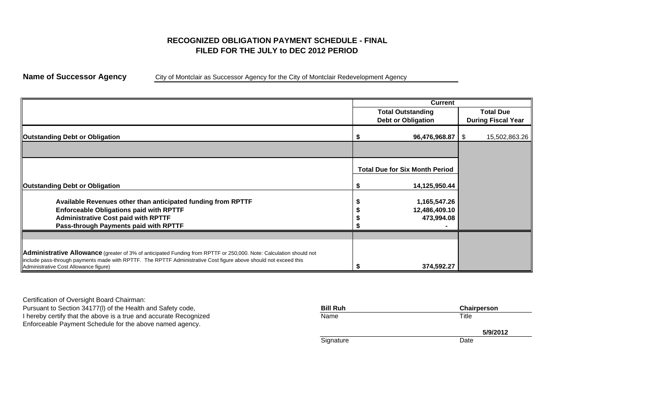# **FILED FOR THE JULY to DEC 2012 PERIODRECOGNIZED OBLIGATION PAYMENT SCHEDULE - FINAL**

**Name of Successor Agency** City of Montclair as Successor Agency for the City of Montclair Redevelopment Agency

|                                                                                                                                                                                                                                                                                 | <b>Current</b>                        |  |                           |  |  |  |  |
|---------------------------------------------------------------------------------------------------------------------------------------------------------------------------------------------------------------------------------------------------------------------------------|---------------------------------------|--|---------------------------|--|--|--|--|
|                                                                                                                                                                                                                                                                                 | <b>Total Outstanding</b>              |  | <b>Total Due</b>          |  |  |  |  |
|                                                                                                                                                                                                                                                                                 | <b>Debt or Obligation</b>             |  | <b>During Fiscal Year</b> |  |  |  |  |
| <b>Outstanding Debt or Obligation</b>                                                                                                                                                                                                                                           | $96,476,968.87$ \ \$                  |  | 15,502,863.26             |  |  |  |  |
|                                                                                                                                                                                                                                                                                 |                                       |  |                           |  |  |  |  |
|                                                                                                                                                                                                                                                                                 | <b>Total Due for Six Month Period</b> |  |                           |  |  |  |  |
| <b>Outstanding Debt or Obligation</b>                                                                                                                                                                                                                                           | 14,125,950.44                         |  |                           |  |  |  |  |
| Available Revenues other than anticipated funding from RPTTF                                                                                                                                                                                                                    | 1,165,547.26                          |  |                           |  |  |  |  |
| <b>Enforceable Obligations paid with RPTTF</b>                                                                                                                                                                                                                                  | 12,486,409.10                         |  |                           |  |  |  |  |
| <b>Administrative Cost paid with RPTTF</b>                                                                                                                                                                                                                                      | 473,994.08                            |  |                           |  |  |  |  |
| Pass-through Payments paid with RPTTF                                                                                                                                                                                                                                           |                                       |  |                           |  |  |  |  |
|                                                                                                                                                                                                                                                                                 |                                       |  |                           |  |  |  |  |
| Administrative Allowance (greater of 3% of anticipated Funding from RPTTF or 250,000. Note: Calculation should not<br>include pass-through payments made with RPTTF. The RPTTF Administrative Cost figure above should not exceed this<br>Administrative Cost Allowance figure) | 374,592.27                            |  |                           |  |  |  |  |

Certification of Oversight Board Chairman: Pursuant to Section 34177(I) of the Health and Safety code, I hereby certify that the above is a true and accurate Recognized Enforceable Payment Schedule for the above named agency.

| <b>Bill Ruh</b> | Chairperson |
|-----------------|-------------|
| Name            | Title       |
|                 | 5/9/2012    |
| Signature       |             |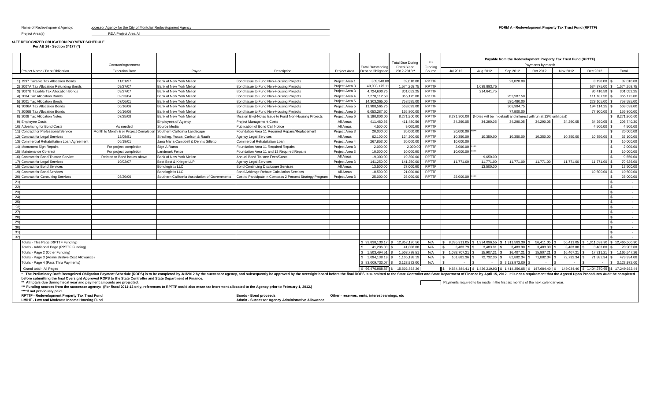Project Area(s) RDA Project Area All

# **RAFT RECOGNIZED OBLIGATION PAYMENT SCHEDULE**

**Per AB 26 - Section 34177 (\*)**

Contract/Agreement Project Name / Debt Obligation Execution Date Payee Description Jul 2012 Aug 2012 Sep 2012 Oct 2012 Nov 2012 Dec 2012 Total 1)|1997 Taxable Tax Allocation Bonds | 1/01/97 Bank of New York Mellon Bond Issue to Fund Non-Housing Projects | Project Area 1 309,540.00 32,010.00 RPTTF | | 23,820.00 20,000 20,000 20,000 8,190.00 8,190.00 8,190.00 8 32, 2)|2007A Tax Allocation Refunding Bonds | Density Density Density Density Density Project Area Bond Issue to Fund Non-Housing Project Area 3 40,003,175.11 1,574,268.75 RPTTF | 1,039,893.75 | | 534,375.00 1,574,268.75 | 534 3) 2007B Taxable Tax Allocation Bonds 09/27/07 Bank of New York Mellon Bond Issue to Fund Non-Housing Projects Project Area 3 4,724,600.75 301,052.25 RPTTF 214,641.75 86,410.50 301,052.25 \$ 4) 2004 Tax Allocation Bonds 02/23/04 Bank of New York Mellon Bond Issue to Fund Non-Housing Projects Project Area 4 7,278,112.50 365,175.00 RPTTF 253,987.50 111,187.50 365,175.00 \$ 5) 2001 Tax Allocation Bonds 07/06/01 Bank of New York Mellon Bond Issue to Fund Non-Housing Projects Project Area 5 14,303,365.00 758,585.00 RPTTF 530,480.00 228,105.00 758,585.00 \$ 6) 2006A Tax Allocation Bonds 06/16/06 Bank of New York Mellon Bond Issue to Fund Non-Housing Projects Project Area 5 11,988,565.75 563,099.00 RPTTF 368,984.75 194,114.25 563,099.00 \$ 7) 2006B Tax Allocation Bonds 06/16/06 Bank of New York Mellon Bond Issue to Fund Non-Housing Projects Project Area 5 6,053,287.50 155,800.00 RPTTF 77,900.00 77,900.00 155,800.00 \$ 812008 Tax Allocation Notes (1994) and the main of 125/08 (1997) and the Vork Mellon Mission Blyd-Notes Issue to Fund Non-Housing Project Area 6 8.190.000.00 8.271.900.00 RPTTF 8.271.900.00 (Notes will be in default and in 9) Employee Costs Employees of Agency Project Management Costs All Areas 411,480.56 411,480.56 RPTTF 34,290.05 34,290.05 34,290.05 34,290.05 34,290.05 34,290.05 205,740.30 \$ 10) Advertising for Bond Costs As needed Source Media Publication of Bond Call Notice All Areas 4,500.00 9,000.00 RPTTF 4,500.00 4,500.00 \$ 11) Contract for Professional Service Month to Month & or Project Completion Southern California Landscape Foundation Area 11 Required Repairs/Replacement Project Area 3 20,000.00 20,000.00 RPTTF 20,000.00 PHTTF 20,000.00 12)|Contract for Legal Services | 12/09/81 Stradling, Yocca, Carlson & Rauth Agency Legal Services | All Areas | 62,100.00 124,200.00 RPTTF | 10,350.00 10,350.00 10,350.00 10,350.00 10,350.00 10,350.00 10,350.00 10,350.00 13) Commercial Rehabilitation Loan Agreement 06/19/01 Jana Maria Campbell & Dennis Silletto Commercial Rehabiliation Loan Project Area 4 267,853.00 20,000.00 RPTTF 10,000.00 \$ 10,000.00 14) Monument Sign Repairs For project completion Sign A Rama Foundation Area 11 Required Repairs Project Area 3 2,000.00 2,000.00 RPTTF 2,000.00 \*\*\*\* \$ 2,000.00 15) Maintenance Contract **For project completion Landmark Fence** Foundation Area 11 and 12 Required Repairs Project Area 3 10,000.00 10,000.00 RPTTF 10,000.00 **RPTTF** 10,000.00 PROJECT Area 3 10,000.00 PRTTF 10,000.00 PRTT 16) Contract for Bond Trustee Service | Related to Bond issues above Bank of New York Mellon Annual Bond Trustee Fees/Costs | All Areas | 19,300.00 19,300.00 RPTTF | 9,650.00 | 9,650.00 | 9,650.00 | 9,050.00 | 9,050.00 | 9 17)|Contract for Legal Services | 10/02/07 Best Best & Krieger LLP | Agency Legal Services | Project Area 3 | 141,250.00 | 141,250.00 | RPTTF | 11,771.00 | 11,771.00 | 11,771.00 | 11,771.00 | 11,771.00 | 11,771.00 | 11,771 18) Contract for Bond Services Bondlogistix LLC Bond Continuing Disclosure Services All Areas 13,500.00 27,000.00 RPTTF 13,500.00 \$ 13,500.00 19)|Contract for Bond Services | 10,500.00 | Sondlogistix LLC Bond Arbitrage Rebate Calculation Services | All Areas | 10,500.00 | 21,000.00 | RPTTF | | | | | | 10,500.00 | 10,500.00 | 10,500.00 | 10,500.00 | 10,500.00 | 1 20) Contract for Consulting Services 03/20/06 Southern California Association of Governments Cost to Participate in Compass 2 Percent Strategy Program Project Area 3 25,000.00 25,000.00 RPTTF 25,000.00 \*\*\*\* \$ 25,000.00 \$ 2 21) \$ - 22) \$ - 23) \$ - 24) \$ - 25) \$ - 26) \$ - 27) \$ - 28) \$ - 29) \$ - 30) \$ - 31) \$ - 32) 2010년 - 대한민국의 대한민국의 대한민국의 대한민국의 대한민국의 대한민국의 대한민국의 대한민국의 대한민국의 대한민국의 대한민국의 대한민국의 대한민국의 대한민국의 대한민국의 대한민국의 대한민국의 대한민국의 대한민국의 대한민국의 대한민국의 대한민국의 대한민국의 대한민국의 대한민국의 대한민국의 대한민국의 대한민국의 대한민국의 대한민국의 대한민국의 대한민국의 대한민국의 대한민국의 대한민국의 Totals - This Page (RPTTF Funding) \$ 12,852,120.56 93,838,130.17 \$ N/A 8,395,311.05 \$ 1,334,096.55 \$ 1,311,583.30 \$ 56,411.05 \$ 56,411.05 \$ 1,311,693.30 \$ 12,465,506.30 \$ Totals - Additional Page (RPTTF Funding) \$ 41,806.00 41,206.00 \$ N/A 3,483.79 \$ 3,483.81 \$ 3,483.80 \$ 3,483.80 \$ 3,483.80 \$ 3,483.80 \$ 20,902.80 \$ Totals - Page 2 (Other Funding) \$ 1,503,798.51 1,503,494.51 \$ N/A 1,083,707.21 \$ 15,907.21 \$ 16,407.21 \$ 15,907.21 \$ 16,407.21 \$ 17,211.21 \$ 1,165,547.26 \$ Totals - Page 3 (Administrative Cost Allowance) \$ 1,105,138.19 1,094,138.19 \$ N/A 101,882.36 \$ 72,732.36 \$ 82,882.34 \$ 71,882.34 \$ 72,732.34 \$ 71,882.34 \$ 473,994.08 \$ Totals - Page 4 (Pass Thru Payments) \$ 3,123,972.00 83,009,733.07 \$ N/A - \$ - \$ 3,123,972.00 \$ - \$ - \$ - \$ 3,123,972.00 \$ Grand total - All Pages 6.6 26,476,968.87 \$ 15,502,863.26 \$ 15,502,863.26 \$ 15,502,863.26 \$ 147,856,968.87 \$ 149,034.40 \$ 1,404,270,93 \$ 1,414,356.65 \$ 149,034.40 \$ 149,034.40 \$ 1,404,270.65 \$ 17,249,922.44 \*\* All totals due during fiscal year and payment amounts are projected. **Example 2016** Payments required to be made in the first six months of the next calendar year. **\*\*\* Funding sources from the successor agency: (For fiscal 2011-12 only, references to RPTTF could also mean tax increment allocated to the Agency prior to February 1, 2012.) \*\*\*\*If not previously paid.** RPTTF - Redevelopment Property Tax Trust Fund **Bonds - Redevelopment Property Tax Trust Fund Bonds - Bond proceeds**<br>Admin - Successor Agency Administrative Allowance<br>Administrative Allowance **Admin - Successor Agency Administrative Allowance** \* The Preliminary Draft Recognized Obligation Payment Schedule (ROPS) is to be completed by 3/1/2012 by the successor agency, and subsequently be approved by the oversight board before the final ROPS is submitted to the St **before submitting the final Oversight Approved ROPS to the State Controller and State Department of Finance.** Project Area Total Outstanding Debt or Obligation Total Due During \*\*\*<br> Fiscal Year Funding Payments by month 2012-2013\*\*\*\*\* Funding Source**Payable from the Redevelopment Property Tax Trust Fund (RPTTF)**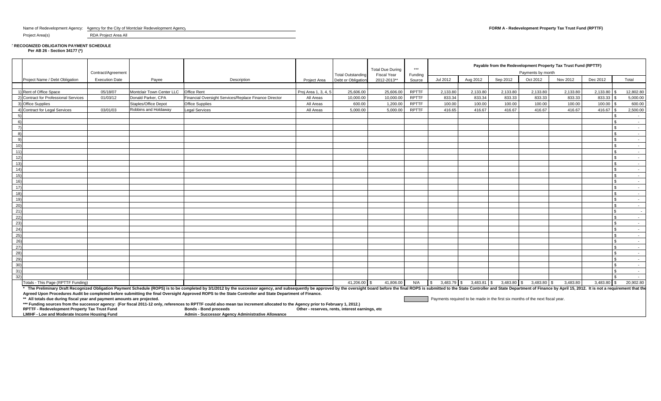Name of Redevelopment Agency: Agency for the City of Montclair Redevelopment Agency **FORM A - Redevelopment Property Tax Trust Fund (RPTTF)** 

Project Area(s) RDA Project Area All

**T RECOGNIZED OBLIGATION PAYMENT SCHEDULE Per AB 26 - Section 34177 (\*)**

|                |                                                                         |                       |                           |                                                                                                                                                                                                                                                                                                                                                                                          |                                                 |                          | <b>Total Due During</b> | $***$        |                           |               |             |                                                                               | Payable from the Redevelopment Property Tax Trust Fund (RPTTF) |               |           |
|----------------|-------------------------------------------------------------------------|-----------------------|---------------------------|------------------------------------------------------------------------------------------------------------------------------------------------------------------------------------------------------------------------------------------------------------------------------------------------------------------------------------------------------------------------------------------|-------------------------------------------------|--------------------------|-------------------------|--------------|---------------------------|---------------|-------------|-------------------------------------------------------------------------------|----------------------------------------------------------------|---------------|-----------|
|                |                                                                         | Contract/Agreement    |                           |                                                                                                                                                                                                                                                                                                                                                                                          |                                                 | <b>Total Outstanding</b> | <b>Fiscal Year</b>      | Funding      |                           |               |             | Payments by month                                                             |                                                                |               |           |
|                | Project Name / Debt Obligation                                          | <b>Execution Date</b> | Payee                     | Description                                                                                                                                                                                                                                                                                                                                                                              | Project Area                                    | Debt or Obligation       | 2012-2013**             | Source       | Jul 2012                  | Aug 2012      | Sep 2012    | Oct 2012                                                                      | Nov 2012                                                       | Dec 2012      | Total     |
|                |                                                                         |                       |                           |                                                                                                                                                                                                                                                                                                                                                                                          |                                                 |                          |                         |              |                           |               |             |                                                                               |                                                                |               |           |
|                | 1) Rent of Office Space                                                 | 05/18/07              | Montclair Town Center LLC | Office Rent                                                                                                                                                                                                                                                                                                                                                                              | Proj Area 1, 3, 4, 5                            | 25.606.00                | 25,606.00               | <b>RPTTF</b> | 2,133.80                  | 2,133.80      | 2.133.80    | 2.133.80                                                                      | 2,133.80                                                       | 2.133.80      | 12,802.80 |
|                | 2) Contract for Professional Services                                   | 01/03/12              | Donald Parker, CPA        | Financial Oversight Services/Replace Finance Director                                                                                                                                                                                                                                                                                                                                    | All Areas                                       | 10.000.00                | 10.000.00               | <b>RPTTF</b> | 833.34                    | 833.34        | 833.33      | 833.33                                                                        | 833.33                                                         | 833.33        | 5.000.00  |
|                | 3) Office Supplies                                                      |                       | Staples/Office Depot      | <b>Office Supplies</b>                                                                                                                                                                                                                                                                                                                                                                   | All Areas                                       | 600.00                   | 1,200.00                | <b>RPTTF</b> | 100.00                    | 100.00        | 100.00      | 100.00                                                                        | 100.00                                                         | 100.00        | 600.00    |
|                | 4) Contract for Legal Services                                          | 03/01/03              | Robbins and Holdaway      | <b>Legal Services</b>                                                                                                                                                                                                                                                                                                                                                                    | All Areas                                       | 5.000.00                 | 5.000.00                | <b>RPTTF</b> | 416.65                    | 416.67        | 416.67      | 416.67                                                                        | 416.67                                                         | 416.67        | 2,500.00  |
|                |                                                                         |                       |                           |                                                                                                                                                                                                                                                                                                                                                                                          |                                                 |                          |                         |              |                           |               |             |                                                                               |                                                                |               |           |
| 6)             |                                                                         |                       |                           |                                                                                                                                                                                                                                                                                                                                                                                          |                                                 |                          |                         |              |                           |               |             |                                                                               |                                                                |               | $\sim$    |
|                |                                                                         |                       |                           |                                                                                                                                                                                                                                                                                                                                                                                          |                                                 |                          |                         |              |                           |               |             |                                                                               |                                                                |               |           |
| $\mathsf{R}^2$ |                                                                         |                       |                           |                                                                                                                                                                                                                                                                                                                                                                                          |                                                 |                          |                         |              |                           |               |             |                                                                               |                                                                |               | $\sim$    |
| -9)            |                                                                         |                       |                           |                                                                                                                                                                                                                                                                                                                                                                                          |                                                 |                          |                         |              |                           |               |             |                                                                               |                                                                |               | $\sim$    |
| 10)            |                                                                         |                       |                           |                                                                                                                                                                                                                                                                                                                                                                                          |                                                 |                          |                         |              |                           |               |             |                                                                               |                                                                |               | $\sim$    |
| 11)            |                                                                         |                       |                           |                                                                                                                                                                                                                                                                                                                                                                                          |                                                 |                          |                         |              |                           |               |             |                                                                               |                                                                |               |           |
| 12)            |                                                                         |                       |                           |                                                                                                                                                                                                                                                                                                                                                                                          |                                                 |                          |                         |              |                           |               |             |                                                                               |                                                                |               | $\sim$    |
| 13)            |                                                                         |                       |                           |                                                                                                                                                                                                                                                                                                                                                                                          |                                                 |                          |                         |              |                           |               |             |                                                                               |                                                                |               | $\sim$    |
| 14)            |                                                                         |                       |                           |                                                                                                                                                                                                                                                                                                                                                                                          |                                                 |                          |                         |              |                           |               |             |                                                                               |                                                                |               | $\sim$    |
| 15)            |                                                                         |                       |                           |                                                                                                                                                                                                                                                                                                                                                                                          |                                                 |                          |                         |              |                           |               |             |                                                                               |                                                                |               | $\sim$    |
| 16)            |                                                                         |                       |                           |                                                                                                                                                                                                                                                                                                                                                                                          |                                                 |                          |                         |              |                           |               |             |                                                                               |                                                                |               | $\sim$    |
| 17)            |                                                                         |                       |                           |                                                                                                                                                                                                                                                                                                                                                                                          |                                                 |                          |                         |              |                           |               |             |                                                                               |                                                                |               | $\sim$    |
| 18)            |                                                                         |                       |                           |                                                                                                                                                                                                                                                                                                                                                                                          |                                                 |                          |                         |              |                           |               |             |                                                                               |                                                                |               | $\sim$    |
| 19)            |                                                                         |                       |                           |                                                                                                                                                                                                                                                                                                                                                                                          |                                                 |                          |                         |              |                           |               |             |                                                                               |                                                                |               | $\sim$    |
| (20)           |                                                                         |                       |                           |                                                                                                                                                                                                                                                                                                                                                                                          |                                                 |                          |                         |              |                           |               |             |                                                                               |                                                                |               |           |
| 21)            |                                                                         |                       |                           |                                                                                                                                                                                                                                                                                                                                                                                          |                                                 |                          |                         |              |                           |               |             |                                                                               |                                                                |               |           |
| 22)            |                                                                         |                       |                           |                                                                                                                                                                                                                                                                                                                                                                                          |                                                 |                          |                         |              |                           |               |             |                                                                               |                                                                |               |           |
| 23)            |                                                                         |                       |                           |                                                                                                                                                                                                                                                                                                                                                                                          |                                                 |                          |                         |              |                           |               |             |                                                                               |                                                                |               | $\sim$    |
| (24)           |                                                                         |                       |                           |                                                                                                                                                                                                                                                                                                                                                                                          |                                                 |                          |                         |              |                           |               |             |                                                                               |                                                                |               |           |
| 25)            |                                                                         |                       |                           |                                                                                                                                                                                                                                                                                                                                                                                          |                                                 |                          |                         |              |                           |               |             |                                                                               |                                                                |               | $\sim$    |
| 26)            |                                                                         |                       |                           |                                                                                                                                                                                                                                                                                                                                                                                          |                                                 |                          |                         |              |                           |               |             |                                                                               |                                                                |               | $\sim$    |
| 27)            |                                                                         |                       |                           |                                                                                                                                                                                                                                                                                                                                                                                          |                                                 |                          |                         |              |                           |               |             |                                                                               |                                                                |               | $\sim$    |
| 28)            |                                                                         |                       |                           |                                                                                                                                                                                                                                                                                                                                                                                          |                                                 |                          |                         |              |                           |               |             |                                                                               |                                                                |               | $\sim$    |
| 29)            |                                                                         |                       |                           |                                                                                                                                                                                                                                                                                                                                                                                          |                                                 |                          |                         |              |                           |               |             |                                                                               |                                                                |               | $\sim$    |
| 30)            |                                                                         |                       |                           |                                                                                                                                                                                                                                                                                                                                                                                          |                                                 |                          |                         |              |                           |               |             |                                                                               |                                                                |               |           |
| 31)            |                                                                         |                       |                           |                                                                                                                                                                                                                                                                                                                                                                                          |                                                 |                          |                         |              |                           |               |             |                                                                               |                                                                |               |           |
| 32)            |                                                                         |                       |                           |                                                                                                                                                                                                                                                                                                                                                                                          |                                                 |                          |                         |              |                           |               |             |                                                                               |                                                                |               |           |
|                | Totals - This Page (RPTTF Funding)                                      |                       |                           |                                                                                                                                                                                                                                                                                                                                                                                          |                                                 | 41,206.00 \$             | 41,806.00               | N/A          | 3,483.79 \$<br>$\sqrt{3}$ | $3,483.81$ \$ | 3,483.80 \$ | $3,483.80$ \$                                                                 | 3.483.80                                                       | $3.483.80$ \$ | 20,902.80 |
|                |                                                                         |                       |                           | * The Preliminary Draft Recognized Obligation Payment Schedule (ROPS) is to be completed by 3/1/2012 by the successor agency, and subsequently be approved by the oversight board before the final ROPS is submitted to the St<br>Agreed Upon Procedures Audit be completed before submitting the final Oversight Approved ROPS to the State Controller and State Department of Finance. |                                                 |                          |                         |              |                           |               |             |                                                                               |                                                                |               |           |
|                | ** All totals due during fiscal year and payment amounts are projected. |                       |                           |                                                                                                                                                                                                                                                                                                                                                                                          |                                                 |                          |                         |              |                           |               |             | Payments required to be made in the first six months of the next fiscal year. |                                                                |               |           |
|                |                                                                         |                       |                           | *** Funding sources from the successor agency: (For fiscal 2011-12 only, references to RPTTF could also mean tax increment allocated to the Agency prior to February 1, 2012.)                                                                                                                                                                                                           |                                                 |                          |                         |              |                           |               |             |                                                                               |                                                                |               |           |
|                | RPTTF - Redevelopment Property Tax Trust Fund                           |                       |                           | <b>Bonds - Bond proceeds</b>                                                                                                                                                                                                                                                                                                                                                             | Other - reserves, rents, interest earnings, etc |                          |                         |              |                           |               |             |                                                                               |                                                                |               |           |

**LMIHF - Low and Moderate Income Housing Fund <b>Admin** - Successor Agency Administrative Allowance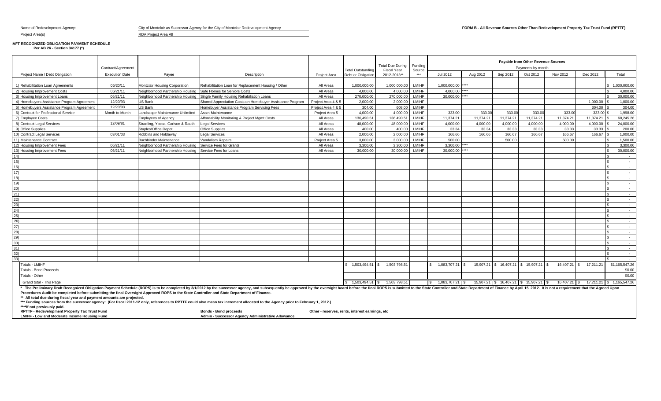# Project Area(s) RDA Project Area All

**RAFT RECOGNIZED OBLIGATION PAYMENT SCHEDULE Per AB 26 - Section 34177 (\*)**

|                                              |                                                                                                                                            |                       |                                                         |                                                                                                                                                                                                                                |                    |                          |                                        | Funding      |                    |                           |                           | Payable from Other Revenue Sources  |              |           |                      |  |  |
|----------------------------------------------|--------------------------------------------------------------------------------------------------------------------------------------------|-----------------------|---------------------------------------------------------|--------------------------------------------------------------------------------------------------------------------------------------------------------------------------------------------------------------------------------|--------------------|--------------------------|----------------------------------------|--------------|--------------------|---------------------------|---------------------------|-------------------------------------|--------------|-----------|----------------------|--|--|
|                                              |                                                                                                                                            | Contract/Agreement    |                                                         |                                                                                                                                                                                                                                |                    | <b>Total Outstanding</b> | <b>Total Due During</b><br>Fiscal Year | Source       | Payments by month  |                           |                           |                                     |              |           |                      |  |  |
|                                              | Project Name / Debt Obligation                                                                                                             | <b>Execution Date</b> | Payee                                                   | Description                                                                                                                                                                                                                    | Project Area       | Debt or Obligation       | 2012-2013**                            | ***          | Jul 2012           | Aug 2012                  | Sep 2012                  | Oct 2012                            | Nov 2012     | Dec 2012  | Total                |  |  |
|                                              |                                                                                                                                            |                       |                                                         |                                                                                                                                                                                                                                |                    |                          |                                        |              |                    |                           |                           |                                     |              |           |                      |  |  |
|                                              | 1) Rehabilitation Loan Agreements                                                                                                          | 06/20/11              | Montclair Housing Corporation                           | Rehabilitation Loan for Replacement Housing / Other                                                                                                                                                                            | All Areas          | 1.000.000.00             | 1.000.000.00                           | <b>LMIHF</b> | 1.000.000.00 ****  |                           |                           |                                     |              |           | \$1.000.000.00       |  |  |
|                                              | 2) Housing Improvement Costs                                                                                                               | 06/21/11              | Neighborhood Partnership Housing                        | Safe Homes for Seniors Costs                                                                                                                                                                                                   | All Areas          | 4,000.00                 | 4.000.00                               | <b>LMIHF</b> | 4.000.00 ****      |                           |                           |                                     |              |           | 4,000.00             |  |  |
|                                              | 3) Housing Improvement Loans                                                                                                               | 06/21/11              |                                                         | Neighborhood Partnership Housing Single Family Housing Rehabiliation Loans                                                                                                                                                     | All Areas          | 270,000,00               | 270.000.00                             | LMIHF        | 30,000.00 ****     |                           |                           |                                     |              |           | 30,000,00            |  |  |
|                                              | 4) Homebuyers Assistance Program Agreement                                                                                                 | 12/20/93              | US Bank                                                 | Shared Appreciation Costs on Homebuyer Assistance Program                                                                                                                                                                      | Project Area 4 & 5 | 2.000.00                 | 2.000.00                               | <b>LMIHF</b> |                    |                           |                           |                                     |              | 1.000.00  | 1.000.00             |  |  |
|                                              | 5) Homebuyers Assistance Program Agreement                                                                                                 | 12/20/93              | US Bank                                                 | Homebuyer Assistance Program Servicing Fees                                                                                                                                                                                    | Project Area 4 & 5 | 304.00                   | 608.00                                 | <b>LMIHF</b> |                    |                           |                           |                                     |              | 304.00    | 304.00               |  |  |
|                                              | 6) Contract for Professional Service                                                                                                       | Month to Month        | andscape Maintenance Unlimited                          | Asset Maintenance                                                                                                                                                                                                              | Project Area 5     | 4.000.00                 | 4.000.00                               | LMIHF        | 333.00             | 333.00                    | 333.00                    | 333.00                              | 333.00       | 333.00    | 1.998.00             |  |  |
|                                              | 7) Employee Costs                                                                                                                          |                       | <b>Employees of Agency</b>                              | Affordability Monitoring & Project Mgmt Costs                                                                                                                                                                                  | All Areas          | 136.490.51               | 136.490.51                             | <b>LMIHF</b> | 11.374.21          | 11.374.21                 | 11.374.21                 | 11.374.21                           | 11.374.21    | 11.374.21 | 68.245.26            |  |  |
|                                              | 8) Contract Legal Services                                                                                                                 | 12/09/81              | Stradling, Yocca, Carlson & Rauth                       | egal Services                                                                                                                                                                                                                  | All Areas          | 48,000.00                | 48,000.00                              | LMIHF        | 4.000.00           | 4,000.00                  | 4.000.00                  | 4.000.00                            | 4,000.00     | 4,000.00  | 24,000.00            |  |  |
|                                              | 9) Office Supplies                                                                                                                         |                       | Staples/Office Depot                                    | Office Supplies                                                                                                                                                                                                                | All Areas          | 400.00                   | 400.00                                 | <b>LMIHF</b> | 33.34              | 33.34                     | 33.33                     | 33.33                               | 33.33        | 33.33     | 200.00               |  |  |
|                                              | 10) Contract Legal Services                                                                                                                | 03/01/03              | Robbins and Holdaway                                    | egal Services                                                                                                                                                                                                                  | All Areas          | 2.000.00                 | 2,000.00                               | LMIHF        | 166.66             | 166.66                    | 166.67                    | 166.67                              | 166.67       | 166.67    | 1.000.00             |  |  |
|                                              | 11) Maintenance Contract                                                                                                                   |                       | <b>Buchbinder Maintenance</b>                           | Vandalism Repairs                                                                                                                                                                                                              | Project Area 5     | 3,000.00                 | 3,000.00                               | <b>LMIHF</b> | 500.00             |                           | 500.00                    |                                     | 500.00       |           | 1,500.00             |  |  |
|                                              | 12) Housing Improvement Fees                                                                                                               | 06/21/11              | Neighborhood Partnership Housing                        | Service Fees for Grants                                                                                                                                                                                                        | All Areas          | 3.300.00                 | 3.300.00                               | LMIHF        | 3.300.00 ****      |                           |                           |                                     |              |           | 3.300.00             |  |  |
|                                              | 13) Housing Improvement Fees                                                                                                               | 06/21/11              | Neighborhood Partnership Housing Service Fees for Loans |                                                                                                                                                                                                                                | All Areas          | 30.000.00                | 30,000,00                              | LMIHF        | 30.000.00 ****     |                           |                           |                                     |              |           | 30,000,00            |  |  |
| $\frac{14}{15}$                              |                                                                                                                                            |                       |                                                         |                                                                                                                                                                                                                                |                    |                          |                                        |              |                    |                           |                           |                                     |              |           | $\sim$ $\sim$        |  |  |
| 16)                                          |                                                                                                                                            |                       |                                                         |                                                                                                                                                                                                                                |                    |                          |                                        |              |                    |                           |                           |                                     |              |           | $\sim$ $\sim$        |  |  |
| $\frac{18}{17}$                              |                                                                                                                                            |                       |                                                         |                                                                                                                                                                                                                                |                    |                          |                                        |              |                    |                           |                           |                                     |              |           | $\sim$ 100 $\pm$     |  |  |
| 18)                                          |                                                                                                                                            |                       |                                                         |                                                                                                                                                                                                                                |                    |                          |                                        |              |                    |                           |                           |                                     |              |           | $\sim$               |  |  |
|                                              |                                                                                                                                            |                       |                                                         |                                                                                                                                                                                                                                |                    |                          |                                        |              |                    |                           |                           |                                     |              |           | $\sim$               |  |  |
|                                              |                                                                                                                                            |                       |                                                         |                                                                                                                                                                                                                                |                    |                          |                                        |              |                    |                           |                           |                                     |              |           | $\sim$ $-$<br>$\sim$ |  |  |
|                                              |                                                                                                                                            |                       |                                                         |                                                                                                                                                                                                                                |                    |                          |                                        |              |                    |                           |                           |                                     |              |           | $\sim$               |  |  |
|                                              |                                                                                                                                            |                       |                                                         |                                                                                                                                                                                                                                |                    |                          |                                        |              |                    |                           |                           |                                     |              |           | <b>Contract</b>      |  |  |
|                                              |                                                                                                                                            |                       |                                                         |                                                                                                                                                                                                                                |                    |                          |                                        |              |                    |                           |                           |                                     |              |           | $\sim$               |  |  |
|                                              |                                                                                                                                            |                       |                                                         |                                                                                                                                                                                                                                |                    |                          |                                        |              |                    |                           |                           |                                     |              |           | $\sim$ 100 $\pm$     |  |  |
|                                              |                                                                                                                                            |                       |                                                         |                                                                                                                                                                                                                                |                    |                          |                                        |              |                    |                           |                           |                                     |              |           | $\sim$               |  |  |
|                                              |                                                                                                                                            |                       |                                                         |                                                                                                                                                                                                                                |                    |                          |                                        |              |                    |                           |                           |                                     |              |           | $\sim 10^{-1}$       |  |  |
|                                              |                                                                                                                                            |                       |                                                         |                                                                                                                                                                                                                                |                    |                          |                                        |              |                    |                           |                           |                                     |              |           | $\sim$               |  |  |
|                                              |                                                                                                                                            |                       |                                                         |                                                                                                                                                                                                                                |                    |                          |                                        |              |                    |                           |                           |                                     |              |           | $\sim 100$           |  |  |
|                                              |                                                                                                                                            |                       |                                                         |                                                                                                                                                                                                                                |                    |                          |                                        |              |                    |                           |                           |                                     |              |           | $\sim 100$           |  |  |
|                                              |                                                                                                                                            |                       |                                                         |                                                                                                                                                                                                                                |                    |                          |                                        |              |                    |                           |                           |                                     |              |           | $\sim$               |  |  |
|                                              |                                                                                                                                            |                       |                                                         |                                                                                                                                                                                                                                |                    |                          |                                        |              |                    |                           |                           |                                     |              |           | $\sim$ $-$           |  |  |
|                                              |                                                                                                                                            |                       |                                                         |                                                                                                                                                                                                                                |                    |                          |                                        |              |                    |                           |                           |                                     |              |           | $\sim$               |  |  |
| $\frac{32}{33}$                              |                                                                                                                                            |                       |                                                         |                                                                                                                                                                                                                                |                    |                          |                                        |              |                    |                           |                           |                                     |              |           | $\sim$ $-$           |  |  |
|                                              | <b>Totals - LMIHF</b>                                                                                                                      |                       |                                                         |                                                                                                                                                                                                                                |                    |                          | \$1,503,494.51 \$1,503,798.51          |              | 1.083.707.21       | 15.907.21<br>$\mathsf{S}$ | \$ 16.407.21 \$ 15.907.21 |                                     | 16.407.21    | 17.211.21 | \$1,165,547.26       |  |  |
|                                              | <b>Totals - Bond Proceeds</b>                                                                                                              |                       |                                                         |                                                                                                                                                                                                                                |                    |                          |                                        |              |                    |                           |                           |                                     |              |           | \$0.00               |  |  |
|                                              | Totals - Other                                                                                                                             |                       |                                                         |                                                                                                                                                                                                                                |                    |                          |                                        |              |                    |                           |                           |                                     |              |           | \$0.00               |  |  |
| $$1.503.494.51$ S<br>Grand total - This Page |                                                                                                                                            |                       |                                                         |                                                                                                                                                                                                                                |                    |                          |                                        |              | 1.083.707.21<br>S. |                           |                           | 15.907.21 S 16.407.21 S 15.907.21 S | 16.407.21 \$ | 17.211.21 | \$1.165.547.26       |  |  |
|                                              |                                                                                                                                            |                       |                                                         | * The Preliminary Draft Recognized Obligation Payment Schedule (ROPS) is to be completed by 3/1/2012 by the successor agency, and subsequently be approved by the oversight board before the final ROPS is submitted to the St |                    |                          |                                        |              |                    |                           |                           |                                     |              |           |                      |  |  |
|                                              | Procedures Audit be completed before submitting the final Oversight Approved ROPS to the State Controller and State Department of Finance. |                       |                                                         |                                                                                                                                                                                                                                |                    |                          |                                        |              |                    |                           |                           |                                     |              |           |                      |  |  |
|                                              | ** All total due during fiscal year and payment amounts are projected.                                                                     |                       |                                                         |                                                                                                                                                                                                                                |                    |                          |                                        |              |                    |                           |                           |                                     |              |           |                      |  |  |
|                                              |                                                                                                                                            |                       |                                                         | *** Funding sources from the successor agency: (For fiscal 2011-12 only, references to RPTTF could also mean tax increment allocated to the Agency prior to February 1, 2012.)                                                 |                    |                          |                                        |              |                    |                           |                           |                                     |              |           |                      |  |  |

RPTTF - Redevelopment Property Tax Trust Fund Bonds - Bond proceeds Other - reserves, rents, interest earnings, etc<br>LMIHF - Low and Moderate Income Housing Fund A

Name of Redevelopment Agency: **Example 2012 12: City of Montclair as Successor Agency for the City of Montclair Redevelopment Agency <b>For the City of Montclair Redevelopment Agency FORM B - All Revenue Sources Other Than**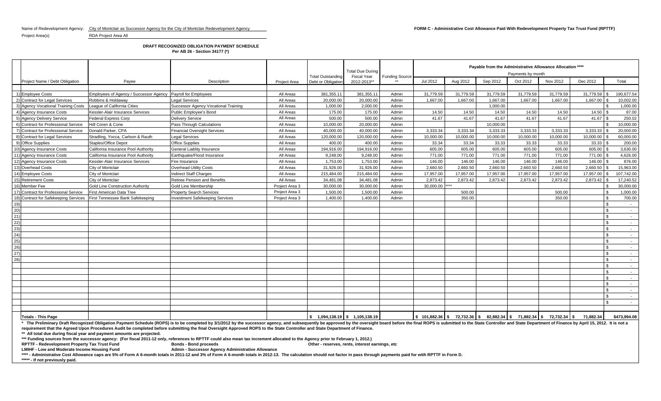Name of Redevelopment Agency: City of Montclair as Successor Agency for the City of Montclair Redevelopment Agency **Form C - Administrative Cost Allowance Paid With Redevelopment Property Tax Trust Fund (RPTTF)** 

Project Area(s) RDA Project Area All

## **DRAFT RECOGNIZED OBLIGATION PAYMENT SCHEDULE**

**Per AB 26 - Section 34177 (\*)**

|                                       |                                                              |                                        |                |                    | <b>Total Due During</b> |                       | Payable from the Administrative Allowance Allocation **** |           |           |                                                                              |           |              |                         |  |  |  |
|---------------------------------------|--------------------------------------------------------------|----------------------------------------|----------------|--------------------|-------------------------|-----------------------|-----------------------------------------------------------|-----------|-----------|------------------------------------------------------------------------------|-----------|--------------|-------------------------|--|--|--|
|                                       |                                                              |                                        |                | Total Outstanding  | <b>Fiscal Year</b>      | <b>Funding Source</b> | Payments by month                                         |           |           |                                                                              |           |              |                         |  |  |  |
| Project Name / Debt Obligation        | Payee                                                        | Description                            | Project Area   | Debt or Obligation | 2012-2013**             |                       | Jul 2012                                                  | Aug 2012  | Sep 2012  | Oct 2012                                                                     | Nov 2012  | Dec 2012     | Total                   |  |  |  |
|                                       |                                                              |                                        |                |                    |                         |                       |                                                           |           |           |                                                                              |           |              |                         |  |  |  |
| 1) Employee Costs                     | Employees of Agency / Successor Agency Payroll for Employees |                                        | All Areas      | 381,355.11         | 381,355.11              | Admin                 | 31,779.59                                                 | 31,779.59 | 31,779.59 | 31,779.59                                                                    | 31,779.59 | 31,779.59 \$ | 190,677.54              |  |  |  |
| 2) Contract for Legal Services        | Robbins & Holdaway                                           | <b>Legal Services</b>                  | All Areas      | 20,000,00          | 20.000.00               | Admin                 | 1,667.00                                                  | 1.667.00  | 1.667.00  | 1.667.00                                                                     | 1.667.00  | 1.667.00     | 10,002.00               |  |  |  |
| 3) Agency Vocational Training Costs   | League of California Cities                                  | Successor Agency Vocational Training   | All Areas      | 1,000.00           | 2,000.00                | Admin                 |                                                           |           | 1.000.00  |                                                                              |           |              | 1,000.00                |  |  |  |
| 4) Agency Insurance Costs             | Kessler-Alair Insurance Services                             | Public Employee's Bond                 | All Areas      | 175.00             | 175.00                  | Admin                 | 14.50                                                     | 14.50     | 14.50     | 14.50                                                                        | 14.50     | 14.50        | 87.00                   |  |  |  |
| 5) Agency Delivery Service            | <b>Federal Express Corp</b>                                  | <b>Delivery Service</b>                | All Areas      | 500.00             | 500.00                  | Admin                 | 41.67                                                     | 41.67     | 41.67     | 41.67                                                                        | 41.67     |              | 250.02                  |  |  |  |
| 6) Contract for Professional Service  | Hdl Coren & Cone                                             | Pass Through Calculations              | All Areas      | 10,000.00          | 20,000.00               | Admin                 |                                                           |           | 10,000.00 |                                                                              |           |              | 10,000.00               |  |  |  |
| 7) Contract for Professional Service  | Donald Parker, CPA                                           | <b>Financial Oversight Services</b>    | All Areas      | 40.000.00          | 40.000.00               | Admin                 | 3,333.34                                                  | 3.333.34  | 3.333.33  | 3.333.33                                                                     | 3.333.33  | 3.333.33     | 20.000.00               |  |  |  |
| 8) Contract for Legal Services        | Stradling, Yocca, Carlson & Rauth                            | Legal Services                         | All Areas      | 120,000.00         | 120,000.00              | Admin                 | 10,000.00                                                 | 10,000.00 | 10,000.00 | 10,000.00                                                                    | 10,000.00 | 10,000.00    | 60,000.00               |  |  |  |
| 9) Office Supplies                    | Staples/Office Depot                                         | <b>Office Supplies</b>                 | All Areas      | 400.00             | 400.00                  | Admin                 | 33.34                                                     | 33.34     | 33.33     | 33.33                                                                        | 33.33     | $33.33$ \$   | 200.00                  |  |  |  |
| 10) Agency Insurance Costs            | California Insurance Pool Authority                          | General Liablity Insurance             | All Areas      | 194,916.00         | 194,916.00              | Admin                 | 605.00                                                    | 605.00    | 605.00    | 605.00                                                                       | 605.00    | 605.00 \$    | 3,630.00                |  |  |  |
| 11) Agency Insurance Costs            | California Insurance Pool Authority                          | Earthquake/Flood Insurance             | All Areas      | 9,248.00           | 9,248.00                | Admin                 | 771.00                                                    | 771.00    | 771.00    | 771.00                                                                       | 771.00    | 771.00       | 4,626.00                |  |  |  |
| 12) Agency Insurance Costs            | Kessler-Alair Insurance Services                             | Fire Insurance                         | All Areas      | 1,753.00           | 1,753.00                | Admin                 | 146.00                                                    | 146.00    | 146.00    | 146.00                                                                       | 146.00    | 146.00 \$    | 876.00                  |  |  |  |
| 13) Overhead Costs                    | City of Montclair                                            | <b>Overhead Utility Costs</b>          | All Areas      | 31,926.00          | 31,926.00               | Admin                 | 2,660.50                                                  | 2,660.50  | 2,660.50  | 2,660.50                                                                     | 2.660.50  | 2.660.50     | 15,963.00               |  |  |  |
| 14) Employee Costs                    | City of Montclair                                            | <b>Indirect Staff Charges</b>          | All Areas      | 215.484.00         | 215.484.00              | Admin                 | 17,957.00                                                 | 17.957.00 | 17.957.00 | 17.957.00                                                                    | 17.957.00 | 17.957.00 \$ | 107,742.00              |  |  |  |
| 15) Retirement Costs                  | City of Montclair                                            | <b>Retiree Pension and Benefits</b>    | All Areas      | 34,481.08          | 34,481.08               | Admin                 | 2,873.42                                                  | 2,873.42  | 2,873.42  | 2,873.42                                                                     | 2,873.42  | 2,873.42     | 17,240.52               |  |  |  |
| 16) Member Fee                        | Gold Line Construction Authority                             | Gold Line Membership                   | Project Area 3 | 30,000.00          | 30.000.00               | Admin                 | 30.000.00 ****                                            |           |           |                                                                              |           |              | 30.000.00               |  |  |  |
| 17) Contract for Professional Service | First American Data Tree                                     | <b>Property Search Services</b>        | Project Area 3 | 1,500.00           | 1,500.00                | Admin                 |                                                           | 500.00    |           |                                                                              | 500.00    |              | 1,000.00                |  |  |  |
| 18) Contract for Safekeeping Services | First Tennessee Bank Safekeeping                             | <b>Investment Safekeeping Services</b> | Project Area 3 | 1,400.00           | 1.400.00                | Admin                 |                                                           | 350.00    |           |                                                                              | 350.00    |              | 700.00                  |  |  |  |
| 19)                                   |                                                              |                                        |                |                    |                         |                       |                                                           |           |           |                                                                              |           |              | $\sim$                  |  |  |  |
| 20)                                   |                                                              |                                        |                |                    |                         |                       |                                                           |           |           |                                                                              |           |              | $\sim$ $-$              |  |  |  |
| 21)                                   |                                                              |                                        |                |                    |                         |                       |                                                           |           |           |                                                                              |           |              | $\mathcal{L}$<br>$\sim$ |  |  |  |
| 22)                                   |                                                              |                                        |                |                    |                         |                       |                                                           |           |           |                                                                              |           |              | \$<br>$\sim$            |  |  |  |
| 23)                                   |                                                              |                                        |                |                    |                         |                       |                                                           |           |           |                                                                              |           |              | £.<br>$\sim$            |  |  |  |
| 24)                                   |                                                              |                                        |                |                    |                         |                       |                                                           |           |           |                                                                              |           |              | $\sim$                  |  |  |  |
| 25)                                   |                                                              |                                        |                |                    |                         |                       |                                                           |           |           |                                                                              |           |              | $\sim$                  |  |  |  |
| (26)                                  |                                                              |                                        |                |                    |                         |                       |                                                           |           |           |                                                                              |           |              | $\sim$                  |  |  |  |
| 27)                                   |                                                              |                                        |                |                    |                         |                       |                                                           |           |           |                                                                              |           |              | $\sim$                  |  |  |  |
| 28)                                   |                                                              |                                        |                |                    |                         |                       |                                                           |           |           |                                                                              |           |              | $\sim$ $-$              |  |  |  |
|                                       |                                                              |                                        |                |                    |                         |                       |                                                           |           |           |                                                                              |           |              | $\sim$                  |  |  |  |
|                                       |                                                              |                                        |                |                    |                         |                       |                                                           |           |           |                                                                              |           |              | £.<br>$\sim$ $-$        |  |  |  |
|                                       |                                                              |                                        |                |                    |                         |                       |                                                           |           |           |                                                                              |           |              | \$.<br>$\sim$           |  |  |  |
|                                       |                                                              |                                        |                |                    |                         |                       |                                                           |           |           |                                                                              |           |              | £.<br>$\sim$            |  |  |  |
|                                       |                                                              |                                        |                |                    |                         |                       |                                                           |           |           |                                                                              |           |              | $\sim$                  |  |  |  |
|                                       |                                                              |                                        |                |                    |                         |                       |                                                           |           |           |                                                                              |           |              | $\mathcal{L}$<br>$\sim$ |  |  |  |
|                                       |                                                              |                                        |                |                    |                         |                       |                                                           |           |           |                                                                              |           |              | $\sim$ $-$              |  |  |  |
|                                       |                                                              |                                        |                |                    |                         |                       |                                                           |           |           |                                                                              |           |              |                         |  |  |  |
| <b>Totals - This Page</b>             |                                                              |                                        |                |                    |                         |                       |                                                           |           |           | $\vert$ \$ 101,882.36 \$ 72,732.36 \$ 82,882.34 \$ 71,882.34 \$ 72,732.34 \$ |           | 71,882.34    | \$473.994.08            |  |  |  |

\* The Preliminary Draft Recognized Obligation Payment Schedule (ROPS) is to be completed by 3/1/2012 by the successor agency, and subsequently be approved by the oversight board before the final ROPS is submitted to the St **requirement that the Agreed Upon Procedures Audit be completed before submitting the final Oversight Approved ROPS to the State Controller and State Department of Finance.**

**\*\* All total due during fiscal year and payment amounts are projected.** 

**\*\*\* Funding sources from the successor agency: (For fiscal 2011-12 only, references to RPTTF could also mean tax increment allocated to the Agency prior to February 1, 2012.)**

RPTTF - Redevelopment Property Tax Trust Fund **Find Bonds - Bond proceeds Bond proceeds Change Condumnation** Cher - reserves, rents, interest earnings, etc<br>
LMIHF - Low and Moderate Income Housing Fund **Adminical Admin** 

**Admin - Successor Agency Administrative Allowance** 

\*\*\*\* - Administrative Cost Allowance caps are 5% of Form A 6-month totals in 2011-12 and 3% of Form A 6-month totals in 2012-13. The calculation should not factor in pass through payments paid for with RPTTF in Form D.

**\*\*\*\*\* - If not previously paid.**